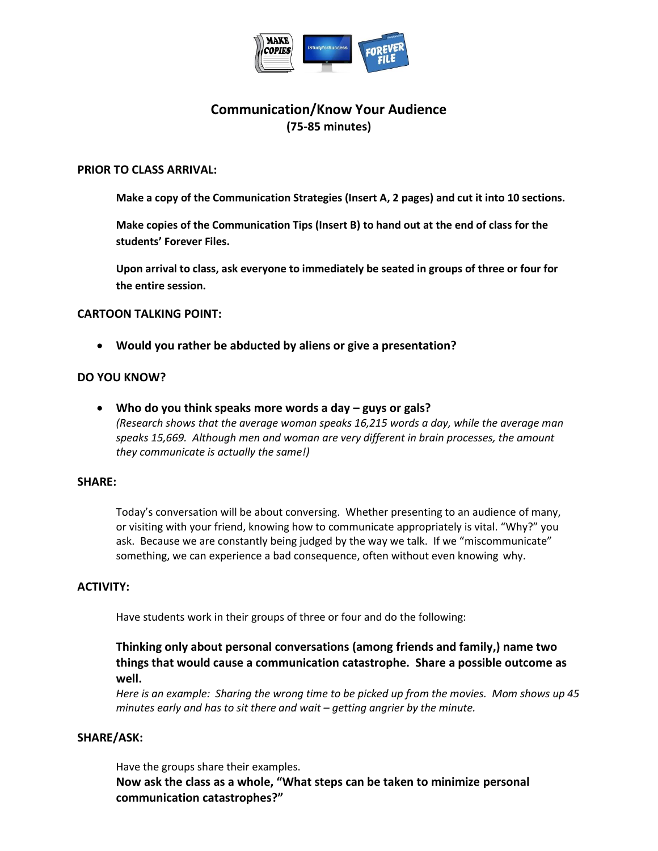

# **Communication/Know Your Audience (75-85 minutes)**

#### **PRIOR TO CLASS ARRIVAL:**

**Make a copy of the Communication Strategies (Insert A, 2 pages) and cut it into 10 sections.**

**Make copies of the Communication Tips (Insert B) to hand out at the end of class for the students' Forever Files.** 

**Upon arrival to class, ask everyone to immediately be seated in groups of three or four for the entire session.**

### **CARTOON TALKING POINT:**

**Would you rather be abducted by aliens or give a presentation?**

### **DO YOU KNOW?**

**•** Who do you think speaks more words a day – guys or gals? *(Research shows that the average woman speaks 16,215 words a day, while the average man speaks 15,669. Although men and woman are very different in brain processes, the amount they communicate is actually the same!)* 

#### **SHARE:**

Today's conversation will be about conversing. Whether presenting to an audience of many, or visiting with your friend, knowing how to communicate appropriately is vital. "Why?" you ask. Because we are constantly being judged by the way we talk. If we "miscommunicate" something, we can experience a bad consequence, often without even knowing why.

#### **ACTIVITY:**

Have students work in their groups of three or four and do the following:

# **Thinking only about personal conversations (among friends and family,) name two things that would cause a communication catastrophe. Share a possible outcome as well.**

*Here is an example: Sharing the wrong time to be picked up from the movies. Mom shows up 45 minutes early and has to sit there and wait – getting angrier by the minute.* 

#### **SHARE/ASK:**

Have the groups share their examples.

**Now ask the class as a whole, "What steps can be taken to minimize personal communication catastrophes?"**